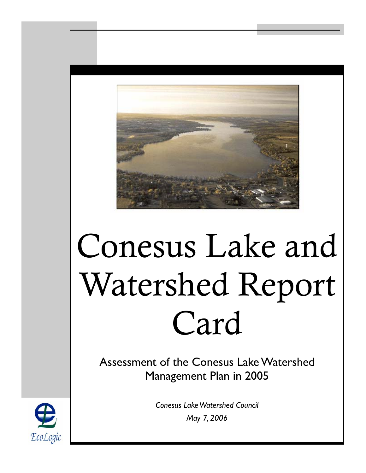

# Conesus Lake and Watershed Report Card

Assessment of the Conesus Lake Watershed Management Plan in 2005

> *Conesus Lake Watershed Council May 7, 2006*

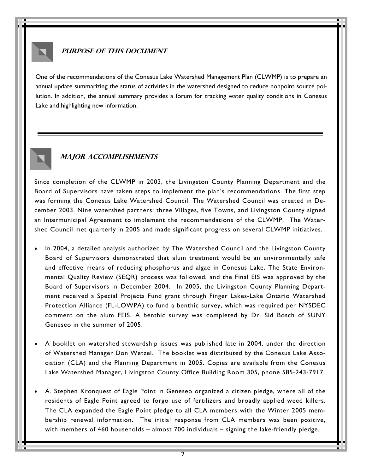

### **PURPOSE OF THIS DOCUMENT**

One of the recommendations of the Conesus Lake Watershed Management Plan (CLWMP) is to prepare an annual update summarizing the status of activities in the watershed designed to reduce nonpoint source pollution. In addition, the annual summary provides a forum for tracking water quality conditions in Conesus Lake and highlighting new information.



#### **Major accomplishments**

Since completion of the CLWMP in 2003, the Livingston County Planning Department and the Board of Supervisors have taken steps to implement the plan's recommendations. The first step was forming the Conesus Lake Watershed Council. The Watershed Council was created in December 2003. Nine watershed partners: three Villages, five Towns, and Livingston County signed an Intermunicipal Agreement to implement the recommendations of the CLWMP. The Watershed Council met quarterly in 2005 and made significant progress on several CLWMP initiatives.

- In 2004, a detailed analysis authorized by The Watershed Council and the Livingston County Board of Supervisors demonstrated that alum treatment would be an environmentally safe and effective means of reducing phosphorus and algae in Conesus Lake. The State Environmental Quality Review (SEQR) process was followed, and the Final EIS was approved by the Board of Supervisors in December 2004. In 2005, the Livingston County Planning Department received a Special Projects Fund grant through Finger Lakes-Lake Ontario Watershed Protection Alliance (FL-LOWPA) to fund a benthic survey, which was required per NYSDEC comment on the alum FEIS. A benthic survey was completed by Dr. Sid Bosch of SUNY Geneseo in the summer of 2005.
- A booklet on watershed stewardship issues was published late in 2004, under the direction of Watershed Manager Don Wetzel. The booklet was distributed by the Conesus Lake Association (CLA) and the Planning Department in 2005. Copies are available from the Conesus Lake Watershed Manager, Livingston County Office Building Room 305, phone 585-243-7917.
- A. Stephen Kronquest of Eagle Point in Geneseo organized a citizen pledge, where all of the residents of Eagle Point agreed to forgo use of fertilizers and broadly applied weed killers. The CLA expanded the Eagle Point pledge to all CLA members with the Winter 2005 membership renewal information. The initial response from CLA members was been positive, with members of 460 households – almost 700 individuals – signing the lake-friendly pledge.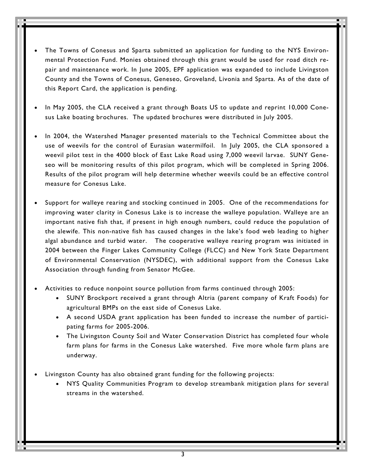- The Towns of Conesus and Sparta submitted an application for funding to the NYS Environmental Protection Fund. Monies obtained through this grant would be used for road ditch repair and maintenance work. In June 2005, EPF application was expanded to include Livingston County and the Towns of Conesus, Geneseo, Groveland, Livonia and Sparta. As of the date of this Report Card, the application is pending.
- In May 2005, the CLA received a grant through Boats US to update and reprint 10,000 Conesus Lake boating brochures. The updated brochures were distributed in July 2005.
- In 2004, the Watershed Manager presented materials to the Technical Committee about the use of weevils for the control of Eurasian watermilfoil. In July 2005, the CLA sponsored a weevil pilot test in the 4000 block of East Lake Road using 7,000 weevil larvae. SUNY Geneseo will be monitoring results of this pilot program, which will be completed in Spring 2006. Results of the pilot program will help determine whether weevils could be an effective control measure for Conesus Lake.
- Support for walleye rearing and stocking continued in 2005. One of the recommendations for improving water clarity in Conesus Lake is to increase the walleye population. Walleye are an important native fish that, if present in high enough numbers, could reduce the population of the alewife. This non-native fish has caused changes in the lake's food web leading to higher algal abundance and turbid water.The cooperative walleye rearing program was initiated in 2004 between the Finger Lakes Community College (FLCC) and New York State Department of Environmental Conservation (NYSDEC), with additional support from the Conesus Lake Association through funding from Senator McGee.
- Activities to reduce nonpoint source pollution from farms continued through 2005:
	- SUNY Brockport received a grant through Altria (parent company of Kraft Foods) for agricultural BMPs on the east side of Conesus Lake.
	- A second USDA grant application has been funded to increase the number of participating farms for 2005-2006.
	- The Livingston County Soil and Water Conservation District has completed four whole farm plans for farms in the Conesus Lake watershed. Five more whole farm plans are underway.
- Livingston County has also obtained grant funding for the following projects:
	- NYS Quality Communities Program to develop streambank mitigation plans for several streams in the watershed.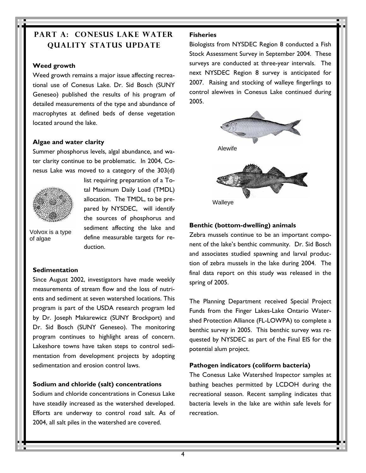## **PART A: CONESUS LAKE WATER QUALITY STATUS UPDATE**

#### **Weed growth**

Weed growth remains a major issue affecting recreational use of Conesus Lake. Dr. Sid Bosch (SUNY Geneseo) published the results of his program of detailed measurements of the type and abundance of macrophytes at defined beds of dense vegetation located around the lake.

#### **Algae and water clarity**

Summer phosphorus levels, algal abundance, and water clarity continue to be problematic. In 2004, Conesus Lake was moved to a category of the 303(d)



list requiring preparation of a Total Maximum Daily Load (TMDL) allocation. The TMDL, to be prepared by NYSDEC, will identify the sources of phosphorus and sediment affecting the lake and define measurable targets for reduction.

Volvox is a type of algae

#### **Sedimentation**

Since August 2002, investigators have made weekly measurements of stream flow and the loss of nutrients and sediment at seven watershed locations. This program is part of the USDA research program led by Dr. Joseph Makarewicz (SUNY Brockport) and Dr. Sid Bosch (SUNY Geneseo). The monitoring program continues to highlight areas of concern. Lakeshore towns have taken steps to control sedimentation from development projects by adopting sedimentation and erosion control laws.

#### **Sodium and chloride (salt) concentrations**

Sodium and chloride concentrations in Conesus Lake have steadily increased as the watershed developed. Efforts are underway to control road salt. As of 2004, all salt piles in the watershed are covered.

#### **Fisheries**

Biologists from NYSDEC Region 8 conducted a Fish Stock Assessment Survey in September 2004. These surveys are conducted at three-year intervals. The next NYSDEC Region 8 survey is anticipated for 2007. Raising and stocking of walleye fingerlings to control alewives in Conesus Lake continued during 2005.



#### **Benthic (bottom-dwelling) animals**

Zebra mussels continue to be an important component of the lake's benthic community. Dr. Sid Bosch and associates studied spawning and larval production of zebra mussels in the lake during 2004. The final data report on this study was released in the spring of 2005.

The Planning Department received Special Project Funds from the Finger Lakes-Lake Ontario Watershed Protection Alliance (FL-LOWPA) to complete a benthic survey in 2005. This benthic survey was requested by NYSDEC as part of the Final EIS for the potential alum project.

#### **Pathogen indicators (coliform bacteria)**

The Conesus Lake Watershed Inspector samples at bathing beaches permitted by LCDOH during the recreational season. Recent sampling indicates that bacteria levels in the lake are within safe levels for recreation.

4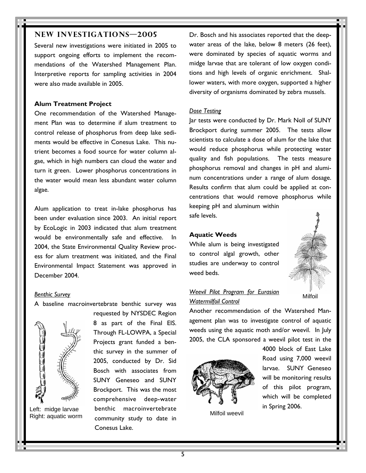#### **NEW INVESTIGATIONS—2005**

Several new investigations were initiated in 2005 to support ongoing efforts to implement the recommendations of the Watershed Management Plan. Interpretive reports for sampling activities in 2004 were also made available in 2005.

#### **Alum Treatment Project**

One recommendation of the Watershed Management Plan was to determine if alum treatment to control release of phosphorus from deep lake sediments would be effective in Conesus Lake. This nutrient becomes a food source for water column algae, which in high numbers can cloud the water and turn it green. Lower phosphorus concentrations in the water would mean less abundant water column algae.

Alum application to treat in-lake phosphorus has been under evaluation since 2003. An initial report by EcoLogic in 2003 indicated that alum treatment would be environmentally safe and effective. In 2004, the State Environmental Quality Review process for alum treatment was initiated, and the Final Environmental Impact Statement was approved in December 2004.

#### *Benthic Survey*

A baseline macroinvertebrate benthic survey was



Right: aquatic worm

requested by NYSDEC Region 8 as part of the Final EIS. Through FL-LOWPA, a Special Projects grant funded a benthic survey in the summer of 2005, conducted by Dr. Sid Bosch with associates from SUNY Geneseo and SUNY Brockport. This was the most comprehensive deep-water Left: midge larvae benthic macroinvertebrate and the state of the spring 2006. community study to date in Conesus Lake.

Dr. Bosch and his associates reported that the deepwater areas of the lake, below 8 meters (26 feet), were dominated by species of aquatic worms and midge larvae that are tolerant of low oxygen conditions and high levels of organic enrichment. Shallower waters, with more oxygen, supported a higher diversity of organisms dominated by zebra mussels.

#### *Dose Testing*

Jar tests were conducted by Dr. Mark Noll of SUNY Brockport during summer 2005. The tests allow scientists to calculate a dose of alum for the lake that would reduce phosphorus while protecting water quality and fish populations. The tests measure phosphorus removal and changes in pH and aluminum concentrations under a range of alum dosage. Results confirm that alum could be applied at concentrations that would remove phosphorus while keeping pH and aluminum within safe levels.

#### **Aquatic Weeds**

While alum is being investigated to control algal growth, other studies are underway to control weed beds.



Milfoil

*Weevil Pilot Program for Eurasian Watermilfoil Control*

Another recommendation of the Watershed Management plan was to investigate control of aquatic weeds using the aquatic moth and/or weevil. In July 2005, the CLA sponsored a weevil pilot test in the



Milfoil weevil

4000 block of East Lake Road using 7,000 weevil larvae. SUNY Geneseo will be monitoring results of this pilot program, which will be completed

5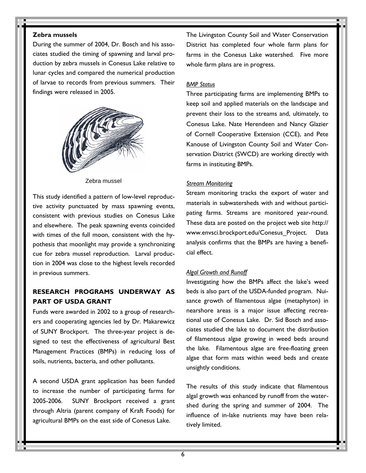#### **Zebra mussels**

During the summer of 2004, Dr. Bosch and his associates studied the timing of spawning and larval production by zebra mussels in Conesus Lake relative to lunar cycles and compared the numerical production of larvae to records from previous summers. Their findings were released in 2005.



Zebra mussel

This study identified a pattern of low-level reproductive activity punctuated by mass spawning events, consistent with previous studies on Conesus Lake and elsewhere. The peak spawning events coincided with times of the full moon, consistent with the hypothesis that moonlight may provide a synchronizing cue for zebra mussel reproduction. Larval production in 2004 was close to the highest levels recorded in previous summers.

### **RESEARCH PROGRAMS UNDERWAY AS PART OF USDA GRANT**

Funds were awarded in 2002 to a group of researchers and cooperating agencies led by Dr. Makarewicz of SUNY Brockport. The three-year project is designed to test the effectiveness of agricultural Best Management Practices (BMPs) in reducing loss of soils, nutrients, bacteria, and other pollutants.

A second USDA grant application has been funded to increase the number of participating farms for 2005-2006. SUNY Brockport received a grant through Altria (parent company of Kraft Foods) for agricultural BMPs on the east side of Conesus Lake.

The Livingston County Soil and Water Conservation District has completed four whole farm plans for farms in the Conesus Lake watershed. Five more whole farm plans are in progress.

#### *BMP Status*

Three participating farms are implementing BMPs to keep soil and applied materials on the landscape and prevent their loss to the streams and, ultimately, to Conesus Lake. Nate Herendeen and Nancy Glazier of Cornell Cooperative Extension (CCE), and Pete Kanouse of Livingston County Soil and Water Conservation District (SWCD) are working directly with farms in instituting BMPs.

#### *Stream Monitoring*

Stream monitoring tracks the export of water and materials in subwatersheds with and without participating farms. Streams are monitored year-round. These data are posted on the project web site http:// www.envsci.brockport.edu/Conesus\_Project. Data analysis confirms that the BMPs are having a beneficial effect.

#### *Algal Growth and Runoff*

Investigating how the BMPs affect the lake's weed beds is also part of the USDA-funded program. Nuisance growth of filamentous algae (metaphyton) in nearshore areas is a major issue affecting recreational use of Conesus Lake. Dr. Sid Bosch and associates studied the lake to document the distribution of filamentous algae growing in weed beds around the lake. Filamentous algae are free-floating green algae that form mats within weed beds and create unsightly conditions.

The results of this study indicate that filamentous algal growth was enhanced by runoff from the watershed during the spring and summer of 2004. The influence of in-lake nutrients may have been relatively limited.

6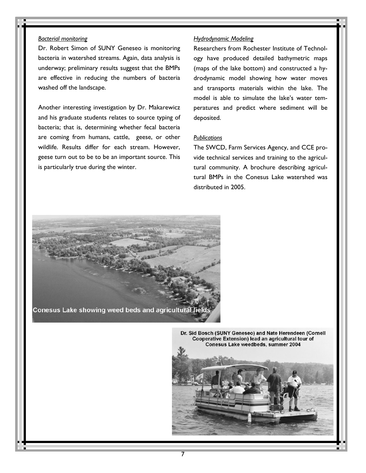#### *Bacterial monitoring*

Dr. Robert Simon of SUNY Geneseo is monitoring bacteria in watershed streams. Again, data analysis is underway; preliminary results suggest that the BMPs are effective in reducing the numbers of bacteria washed off the landscape.

Another interesting investigation by Dr. Makarewicz and his graduate students relates to source typing of bacteria; that is, determining whether fecal bacteria are coming from humans, cattle, geese, or other wildlife. Results differ for each stream. However, geese turn out to be to be an important source. This is particularly true during the winter.

#### *Hydrodynamic Modeling*

Researchers from Rochester Institute of Technology have produced detailed bathymetric maps (maps of the lake bottom) and constructed a hydrodynamic model showing how water moves and transports materials within the lake. The model is able to simulate the lake's water temperatures and predict where sediment will be deposited.

#### *Publications*

The SWCD, Farm Services Agency, and CCE provide technical services and training to the agricultural community. A brochure describing agricultural BMPs in the Conesus Lake watershed was distributed in 2005.

Conesus Lake showing weed beds and agricultural fields

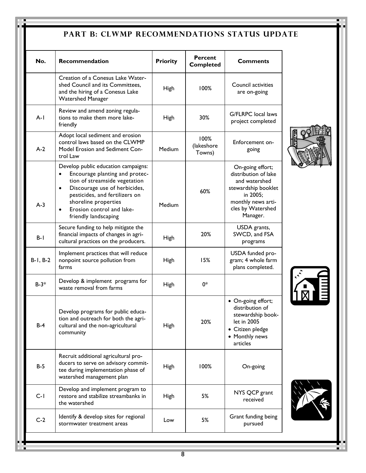# PART B: CLWMP RECOMMENDATIONS STATUS UPDATE

| No.           | Recommendation                                                                                                                                                                                                                                                                   | <b>Priority</b> | <b>Percent</b><br><b>Completed</b> | Comments                                                                                                                                            |
|---------------|----------------------------------------------------------------------------------------------------------------------------------------------------------------------------------------------------------------------------------------------------------------------------------|-----------------|------------------------------------|-----------------------------------------------------------------------------------------------------------------------------------------------------|
|               | Creation of a Conesus Lake Water-<br>shed Council and its Committees,<br>and the hiring of a Conesus Lake<br><b>Watershed Manager</b>                                                                                                                                            | High            | 100%                               | Council activities<br>are on-going                                                                                                                  |
| $A-I$         | Review and amend zoning regula-<br>tions to make them more lake-<br>friendly                                                                                                                                                                                                     | High            | 30%                                | <b>G/FLRPC</b> local laws<br>project completed                                                                                                      |
| $A-2$         | Adopt local sediment and erosion<br>control laws based on the CLWMP<br>Model Erosion and Sediment Con-<br>trol Law                                                                                                                                                               | Medium          | 100%<br>(lakeshore<br>Towns)       | Enforcement on-<br>going                                                                                                                            |
| $A-3$         | Develop public education campaigns:<br>Encourage planting and protec-<br>tion of streamside vegetation<br>Discourage use of herbicides,<br>$\bullet$<br>pesticides, and fertilizers on<br>shoreline properties<br>Erosion control and lake-<br>$\bullet$<br>friendly landscaping | Medium          | 60%                                | On-going effort;<br>distribution of lake<br>and watershed<br>stewardship booklet<br>in 2005;<br>monthly news arti-<br>cles by Watershed<br>Manager. |
| $B - I$       | Secure funding to help mitigate the<br>financial impacts of changes in agri-<br>cultural practices on the producers.                                                                                                                                                             | <b>High</b>     | 20%                                | USDA grants,<br>SWCD, and FSA<br>programs                                                                                                           |
| $B-1$ , $B-2$ | Implement practices that will reduce<br>nonpoint source pollution from<br>farms                                                                                                                                                                                                  | High            | 15%                                | USDA funded pro-<br>gram; 4 whole farm<br>plans completed.                                                                                          |
| $B-3*$        | Develop & implement programs for<br>waste removal from farms                                                                                                                                                                                                                     | High            | 0*                                 |                                                                                                                                                     |
| $B-4$         | Develop programs for public educa-<br>tion and outreach for both the agri-<br>cultural and the non-agricultural<br>community                                                                                                                                                     | <b>High</b>     | 20%                                | • On-going effort;<br>distribution of<br>stewardship book-<br>let in 2005<br>• Citizen pledge<br>• Monthly news<br>articles                         |
| $B-5$         | Recruit additional agricultural pro-<br>ducers to serve on advisory commit-<br>tee during implementation phase of<br>watershed management plan                                                                                                                                   | <b>High</b>     | 100%                               | On-going                                                                                                                                            |
| $C-1$         | Develop and implement program to<br>restore and stabilize streambanks in<br>the watershed                                                                                                                                                                                        | High            | 5%                                 | NYS QCP grant<br>received                                                                                                                           |
| $C-2$         | Identify & develop sites for regional<br>stormwater treatment areas                                                                                                                                                                                                              | Low             | 5%                                 | Grant funding being<br>pursued                                                                                                                      |





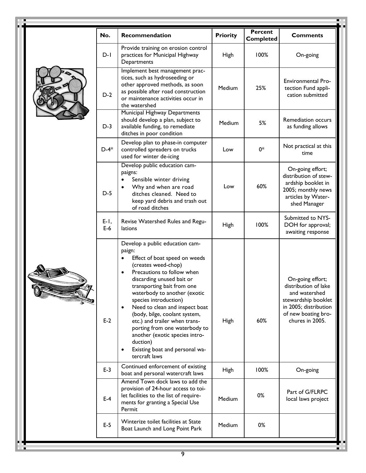| No.              | Recommendation                                                                                                                                                                                                                                                                                                                                                                                                                                                                                                      | <b>Priority</b> | <b>Percent</b><br><b>Completed</b> | <b>Comments</b>                                                                                                                                     |
|------------------|---------------------------------------------------------------------------------------------------------------------------------------------------------------------------------------------------------------------------------------------------------------------------------------------------------------------------------------------------------------------------------------------------------------------------------------------------------------------------------------------------------------------|-----------------|------------------------------------|-----------------------------------------------------------------------------------------------------------------------------------------------------|
| $D-I$            | Provide training on erosion control<br>practices for Municipal Highway<br>Departments                                                                                                                                                                                                                                                                                                                                                                                                                               | <b>High</b>     | 100%                               | On-going                                                                                                                                            |
| $D-2$            | Implement best management prac-<br>tices, such as hydroseeding or<br>other approved methods, as soon<br>as possible after road construction<br>or maintenance activities occur in<br>the watershed                                                                                                                                                                                                                                                                                                                  | Medium          | 25%                                | Environmental Pro-<br>tection Fund appli-<br>cation submitted                                                                                       |
| $D-3$            | Municipal Highway Departments<br>should develop a plan, subject to<br>available funding, to remediate<br>ditches in poor condition                                                                                                                                                                                                                                                                                                                                                                                  | Medium          | 5%                                 | Remediation occurs<br>as funding allows                                                                                                             |
| $D-4*$           | Develop plan to phase-in computer<br>controlled spreaders on trucks<br>used for winter de-icing                                                                                                                                                                                                                                                                                                                                                                                                                     | Low             | 0*                                 | Not practical at this<br>time                                                                                                                       |
| $D-5$            | Develop public education cam-<br>paigns:<br>Sensible winter driving<br>$\bullet$<br>Why and when are road<br>$\bullet$<br>ditches cleaned. Need to<br>keep yard debris and trash out<br>of road ditches                                                                                                                                                                                                                                                                                                             | Low             | 60%                                | On-going effort;<br>distribution of stew-<br>ardship booklet in<br>2005; monthly news<br>articles by Water-<br>shed Manager                         |
| $E-1$ ,<br>$E-6$ | Revise Watershed Rules and Regu-<br>lations                                                                                                                                                                                                                                                                                                                                                                                                                                                                         | <b>High</b>     | 100%                               | Submitted to NYS-<br>DOH for approval;<br>awaiting response                                                                                         |
| $E-2$            | Develop a public education cam-<br>paign:<br>Effect of boat speed on weeds<br>(creates weed-chop)<br>Precautions to follow when<br>$\bullet$<br>discarding unused bait or<br>transporting bait from one<br>waterbody to another (exotic<br>species introduction)<br>Need to clean and inspect boat<br>$\bullet$<br>(body, bilge, coolant system,<br>etc.) and trailer when trans-<br>porting from one waterbody to<br>another (exotic species intro-<br>duction)<br>Existing boat and personal wa-<br>tercraft laws | High            | 60%                                | On-going effort;<br>distribution of lake<br>and watershed<br>stewardship booklet<br>in 2005; distribution<br>of new boating bro-<br>chures in 2005. |
| $E-3$            | Continued enforcement of existing<br>boat and personal watercraft laws                                                                                                                                                                                                                                                                                                                                                                                                                                              | <b>High</b>     | 100%                               | On-going                                                                                                                                            |
| $E-4$            | Amend Town dock laws to add the<br>provision of 24-hour access to toi-<br>let facilities to the list of require-<br>ments for granting a Special Use<br>Permit                                                                                                                                                                                                                                                                                                                                                      | Medium          | 0%                                 | Part of G/FLRPC<br>local laws project                                                                                                               |
| $E-5$            | Winterize toilet facilities at State<br>Boat Launch and Long Point Park                                                                                                                                                                                                                                                                                                                                                                                                                                             | Medium          | 0%                                 |                                                                                                                                                     |

and the control of the control of the control of the control of the control of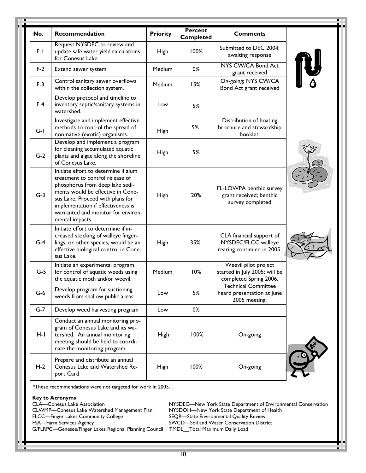| No.   | Recommendation                                                                                                                                                                                                                                                                     | <b>Priority</b> | <b>Percent</b><br><b>Completed</b> | <b>Comments</b>                                                                 |  |
|-------|------------------------------------------------------------------------------------------------------------------------------------------------------------------------------------------------------------------------------------------------------------------------------------|-----------------|------------------------------------|---------------------------------------------------------------------------------|--|
| $F-I$ | Request NYSDEC to review and<br>update safe water yield calculations<br>for Conesus Lake.                                                                                                                                                                                          | High            | 100%                               | Submitted to DEC 2004;<br>awaiting response                                     |  |
| $F-2$ | Extend sewer system                                                                                                                                                                                                                                                                | Medium          | 0%                                 | NYS CW/CA Bond Act<br>grant received                                            |  |
| $F-3$ | Control sanitary sewer overflows<br>within the collection system.                                                                                                                                                                                                                  | Medium          | 15%                                | On-going; NYS CW/CA<br>Bond Act grant received                                  |  |
| $F-4$ | Develop protocol and timeline to<br>inventory septic/sanitary systems in<br>watershed.                                                                                                                                                                                             | Low             | 5%                                 |                                                                                 |  |
| $G-I$ | Investigate and implement effective<br>methods to control the spread of<br>non-native (exotic) organisms.                                                                                                                                                                          | <b>High</b>     | 5%                                 | Distribution of boating<br>brochure and stewardship<br>booklet.                 |  |
| $G-2$ | Develop and implement a program<br>for cleaning accumulated aquatic<br>plants and algae along the shoreline<br>of Conesus Lake.                                                                                                                                                    | <b>High</b>     | 5%                                 |                                                                                 |  |
| $G-3$ | Initiate effort to determine if alum<br>treatment to control release of<br>phosphorus from deep lake sedi-<br>ments would be effective in Cone-<br>sus Lake. Proceed with plans for<br>implementation if effectiveness is<br>warranted and monitor for environ-<br>mental impacts. | <b>High</b>     | 20%                                | FL-LOWPA benthic survey<br>grant received; benthic<br>survey completed          |  |
| $G-4$ | Initiate effort to determine if in-<br>creased stocking of walleye finger-<br>lings, or other species, would be an<br>effective biological control in Cone-<br>sus Lake.                                                                                                           | High            | 35%                                | CLA financial support of<br>NYSDEC/FLCC walleye<br>rearing continued in 2005.   |  |
| $G-5$ | Initiate an experimental program<br>for control of aquatic weeds using<br>the aquatic moth and/or weevil.                                                                                                                                                                          | Medium          | 10%                                | Weevil pilot project<br>started in July 2005; will be<br>completed Spring 2006. |  |
| $G-6$ | Develop program for suctioning<br>weeds from shallow public areas                                                                                                                                                                                                                  | Low             | 5%                                 | <b>Technical Committee</b><br>heard presentation at June<br>2005 meeting.       |  |
| $G-7$ | Develop weed harvesting program                                                                                                                                                                                                                                                    | Low             | 0%                                 |                                                                                 |  |
| H-I   | Conduct an annual monitoring pro-<br>gram of Conesus Lake and its wa-<br>tershed. An annual monitoring<br>meeting should be held to coordi-<br>nate the monitoring program.                                                                                                        | High            | 100%                               | On-going                                                                        |  |
| $H-2$ | Prepare and distribute an annual<br>Conesus Lake and Watershed Re-<br>port Card                                                                                                                                                                                                    | High            | 100%                               | On-going                                                                        |  |

\*These recommendations were not targeted for work in 2005.

**Key to Acronyms**  CLWMP—Conesus Lake Watershed Management Plan FLCC—Finger Lakes Community College SEQR—State Environmental Quality Review FSA—Farm Services Agency **SWCD—Soil and Water Conservation District** G/FLRPC—Genesee/Finger Lakes Regional Planning Council TMDL\_\_Total Maximum Daily Load

NYSDEC—New York State Department of Environmental Conservation<br>NYSDOH—New York State Department of Health